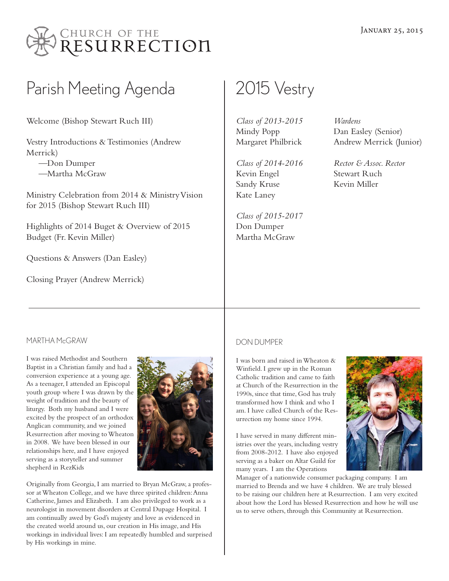

# Parish Meeting Agenda | 2015 Vestry

Welcome (Bishop Stewart Ruch III)

Vestry Introductions & Testimonies (Andrew Merrick)

 —Don Dumper —Martha McGraw

Ministry Celebration from 2014 & Ministry Vision for 2015 (Bishop Stewart Ruch III)

Highlights of 2014 Buget & Overview of 2015 Budget (Fr. Kevin Miller)

Questions & Answers (Dan Easley)

Closing Prayer (Andrew Merrick)

*Class of 2013-2015* Mindy Popp Margaret Philbrick

*Class of 2014-2016* Kevin Engel Sandy Kruse Kate Laney

*Class of 2015-2017* Don Dumper Martha McGraw

*Wardens* Dan Easley (Senior) Andrew Merrick (Junior)

*Rector & Assoc. Rector* Stewart Ruch Kevin Miller

### MARTHA McGRAW

I was raised Methodist and Southern Baptist in a Christian family and had a conversion experience at a young age. As a teenager, I attended an Episcopal youth group where I was drawn by the weight of tradition and the beauty of liturgy. Both my husband and I were excited by the prospect of an orthodox Anglican community, and we joined Resurrection after moving to Wheaton in 2008. We have been blessed in our relationships here, and I have enjoyed serving as a storyteller and summer shepherd in RezKids



Originally from Georgia, I am married to Bryan McGraw, a professor at Wheaton College, and we have three spirited children: Anna Catherine, James and Elizabeth. I am also privileged to work as a neurologist in movement disorders at Central Dupage Hospital. I am continually awed by God's majesty and love as evidenced in the created world around us, our creation in His image, and His workings in individual lives: I am repeatedly humbled and surprised by His workings in mine.

#### DON DUMPER

I was born and raised in Wheaton & Winfield. I grew up in the Roman Catholic tradition and came to faith at Church of the Resurrection in the 1990s, since that time, God has truly transformed how I think and who I am. I have called Church of the Resurrection my home since 1994.

I have served in many different ministries over the years, including vestry from 2008-2012. I have also enjoyed serving as a baker on Altar Guild for many years. I am the Operations



Manager of a nationwide consumer packaging company. I am married to Brenda and we have 4 children. We are truly blessed to be raising our children here at Resurrection. I am very excited about how the Lord has blessed Resurrection and how he will use us to serve others, through this Community at Resurrection.